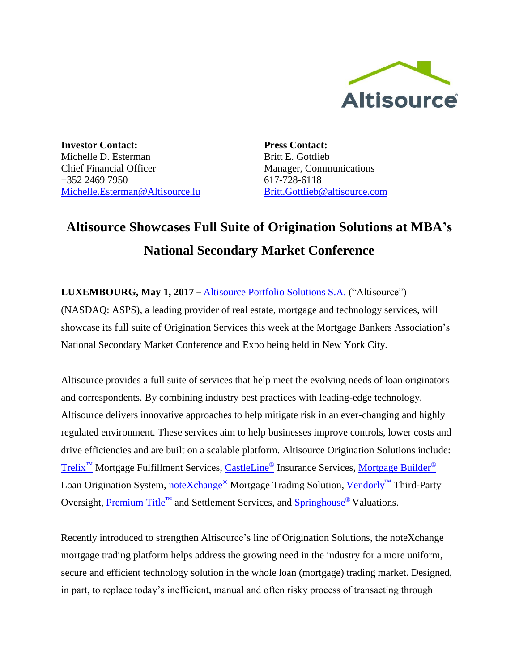

**Investor Contact:** Michelle D. Esterman Chief Financial Officer +352 2469 7950 [Michelle.Esterman@Altisource.lu](mailto:Michelle.Esterman@Altisource.lu) **Press Contact:** Britt E. Gottlieb Manager, Communications 617-728-6118 [Britt.Gottlieb@altisource.com](mailto:Britt.Gottlieb@altisource.com)

## **Altisource Showcases Full Suite of Origination Solutions at MBA's National Secondary Market Conference**

**LUXEMBOURG, May 1, 2017** – [Altisource Portfolio Solutions S.A.](https://www.altisource.com/?utm_campaign=MBASecondary2017&utm_source=PR&utm_medium=PR&utm_content=first) ("Altisource") (NASDAQ: ASPS), a leading provider of real estate, mortgage and technology services, will showcase its full suite of Origination Services this week at the Mortgage Bankers Association's National Secondary Market Conference and Expo being held in New York City.

Altisource provides a full suite of services that help meet the evolving needs of loan originators and correspondents. By combining industry best practices with leading-edge technology, Altisource delivers innovative approaches to help mitigate risk in an ever-changing and highly regulated environment. These services aim to help businesses improve controls, lower costs and drive efficiencies and are built on a scalable platform. Altisource Origination Solutions include: [Trelix](https://www.trelix.com/)<sup>™</sup> Mortgage Fulfillment Services, [CastleLine](http://castleline.com/)<sup>®</sup> Insurance Services, [Mortgage Builder](http://www.mortgagebuilder.com/)<sup>®</sup> Loan Origination System, [noteXchange](https://www.notexchange.com/)<sup>®</sup> Mortgage Trading Solution, [Vendorly](https://www.vendorly.com/)™ Third-Party Oversight, [Premium Title](https://www.mypremiumtitle.com/)™ and Settlement Services, and [Springhouse](http://springhouseamc.com/)<sup>®</sup> Valuations.

Recently introduced to strengthen Altisource's line of Origination Solutions, the noteXchange mortgage trading platform helps address the growing need in the industry for a more uniform, secure and efficient technology solution in the whole loan (mortgage) trading market. Designed, in part, to replace today's inefficient, manual and often risky process of transacting through